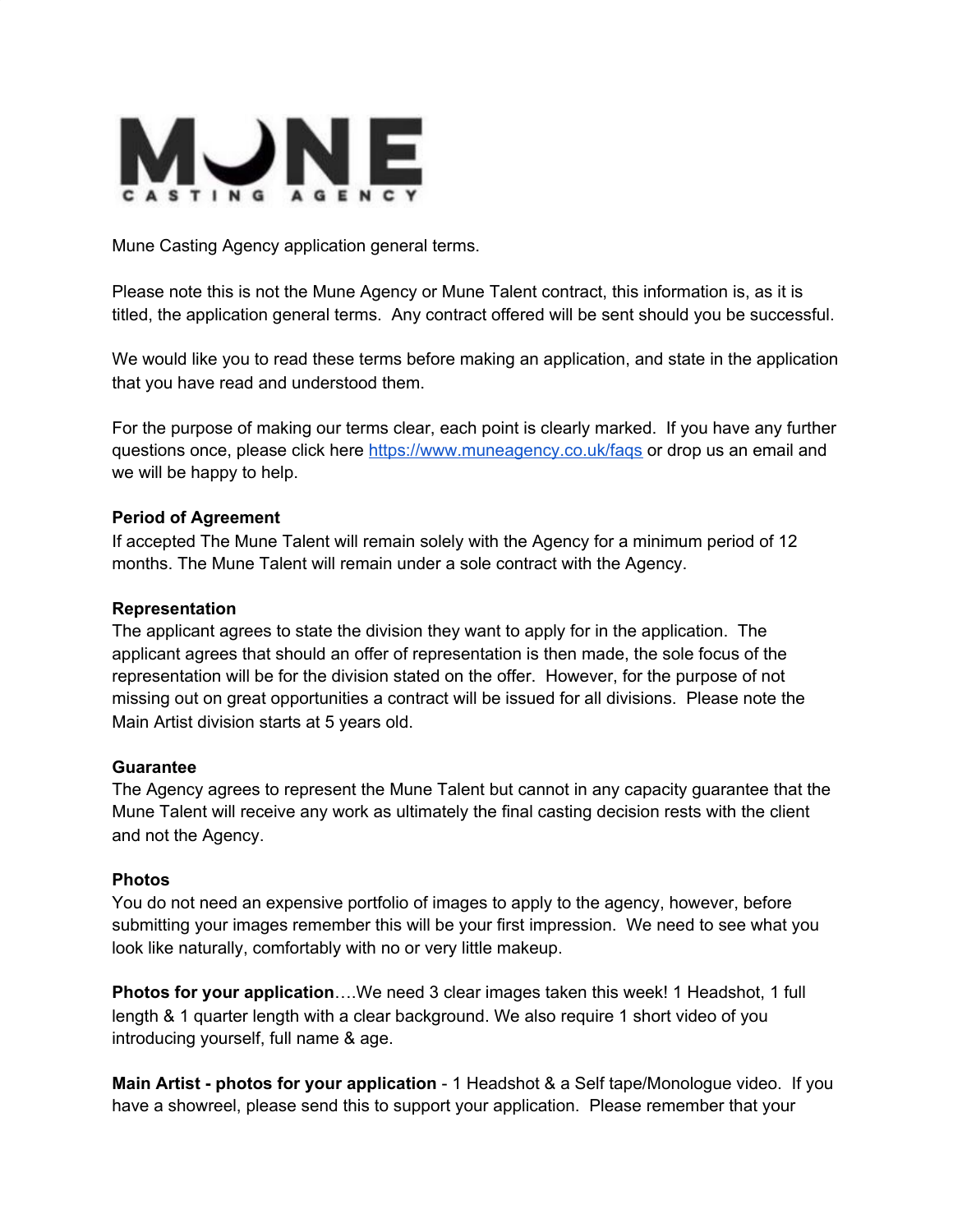

Mune Casting Agency application general terms.

Please note this is not the Mune Agency or Mune Talent contract, this information is, as it is titled, the application general terms. Any contract offered will be sent should you be successful.

We would like you to read these terms before making an application, and state in the application that you have read and understood them.

For the purpose of making our terms clear, each point is clearly marked. If you have any further questions once, please click here <https://www.muneagency.co.uk/faqs> or drop us an email and we will be happy to help.

#### **Period of Agreement**

If accepted The Mune Talent will remain solely with the Agency for a minimum period of 12 months. The Mune Talent will remain under a sole contract with the Agency.

#### **Representation**

The applicant agrees to state the division they want to apply for in the application. The applicant agrees that should an offer of representation is then made, the sole focus of the representation will be for the division stated on the offer. However, for the purpose of not missing out on great opportunities a contract will be issued for all divisions. Please note the Main Artist division starts at 5 years old.

#### **Guarantee**

The Agency agrees to represent the Mune Talent but cannot in any capacity guarantee that the Mune Talent will receive any work as ultimately the final casting decision rests with the client and not the Agency.

#### **Photos**

You do not need an expensive portfolio of images to apply to the agency, however, before submitting your images remember this will be your first impression. We need to see what you look like naturally, comfortably with no or very little makeup.

**Photos for your application**….We need 3 clear images taken this week! 1 Headshot, 1 full length & 1 quarter length with a clear background. We also require 1 short video of you introducing yourself, full name & age.

**Main Artist - photos for your application** - 1 Headshot & a Self tape/Monologue video. If you have a showreel, please send this to support your application. Please remember that your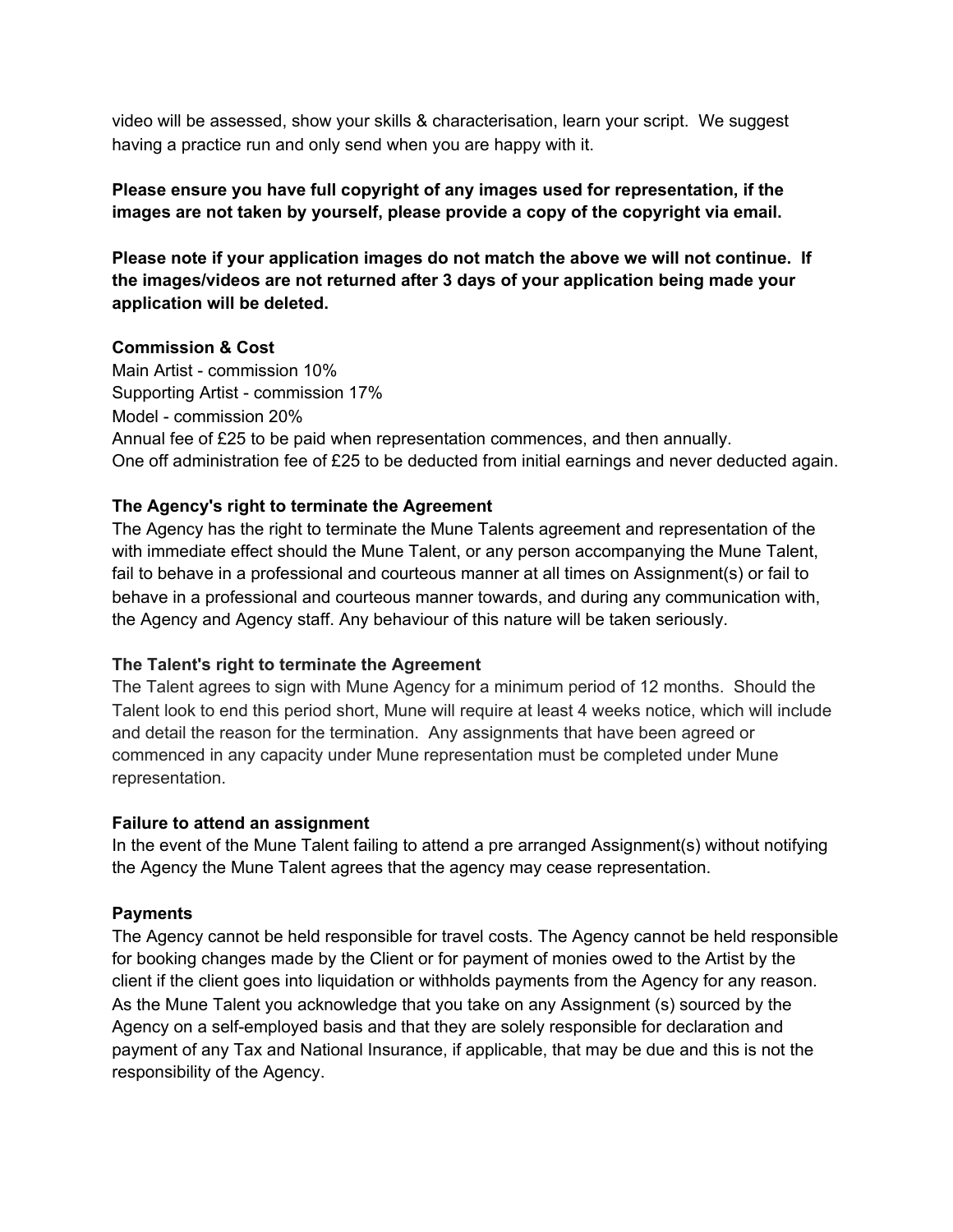video will be assessed, show your skills & characterisation, learn your script. We suggest having a practice run and only send when you are happy with it.

# **Please ensure you have full copyright of any images used for representation, if the images are not taken by yourself, please provide a copy of the copyright via email.**

**Please note if your application images do not match the above we will not continue. If the images/videos are not returned after 3 days of your application being made your application will be deleted.**

# **Commission & Cost**

Main Artist - commission 10% Supporting Artist - commission 17% Model - commission 20% Annual fee of £25 to be paid when representation commences, and then annually. One off administration fee of £25 to be deducted from initial earnings and never deducted again.

# **The Agency's right to terminate the Agreement**

The Agency has the right to terminate the Mune Talents agreement and representation of the with immediate effect should the Mune Talent, or any person accompanying the Mune Talent, fail to behave in a professional and courteous manner at all times on Assignment(s) or fail to behave in a professional and courteous manner towards, and during any communication with, the Agency and Agency staff. Any behaviour of this nature will be taken seriously.

# **The Talent's right to terminate the Agreement**

The Talent agrees to sign with Mune Agency for a minimum period of 12 months. Should the Talent look to end this period short, Mune will require at least 4 weeks notice, which will include and detail the reason for the termination. Any assignments that have been agreed or commenced in any capacity under Mune representation must be completed under Mune representation.

# **Failure to attend an assignment**

In the event of the Mune Talent failing to attend a pre arranged Assignment(s) without notifying the Agency the Mune Talent agrees that the agency may cease representation.

# **Payments**

The Agency cannot be held responsible for travel costs. The Agency cannot be held responsible for booking changes made by the Client or for payment of monies owed to the Artist by the client if the client goes into liquidation or withholds payments from the Agency for any reason. As the Mune Talent you acknowledge that you take on any Assignment (s) sourced by the Agency on a self-employed basis and that they are solely responsible for declaration and payment of any Tax and National Insurance, if applicable, that may be due and this is not the responsibility of the Agency.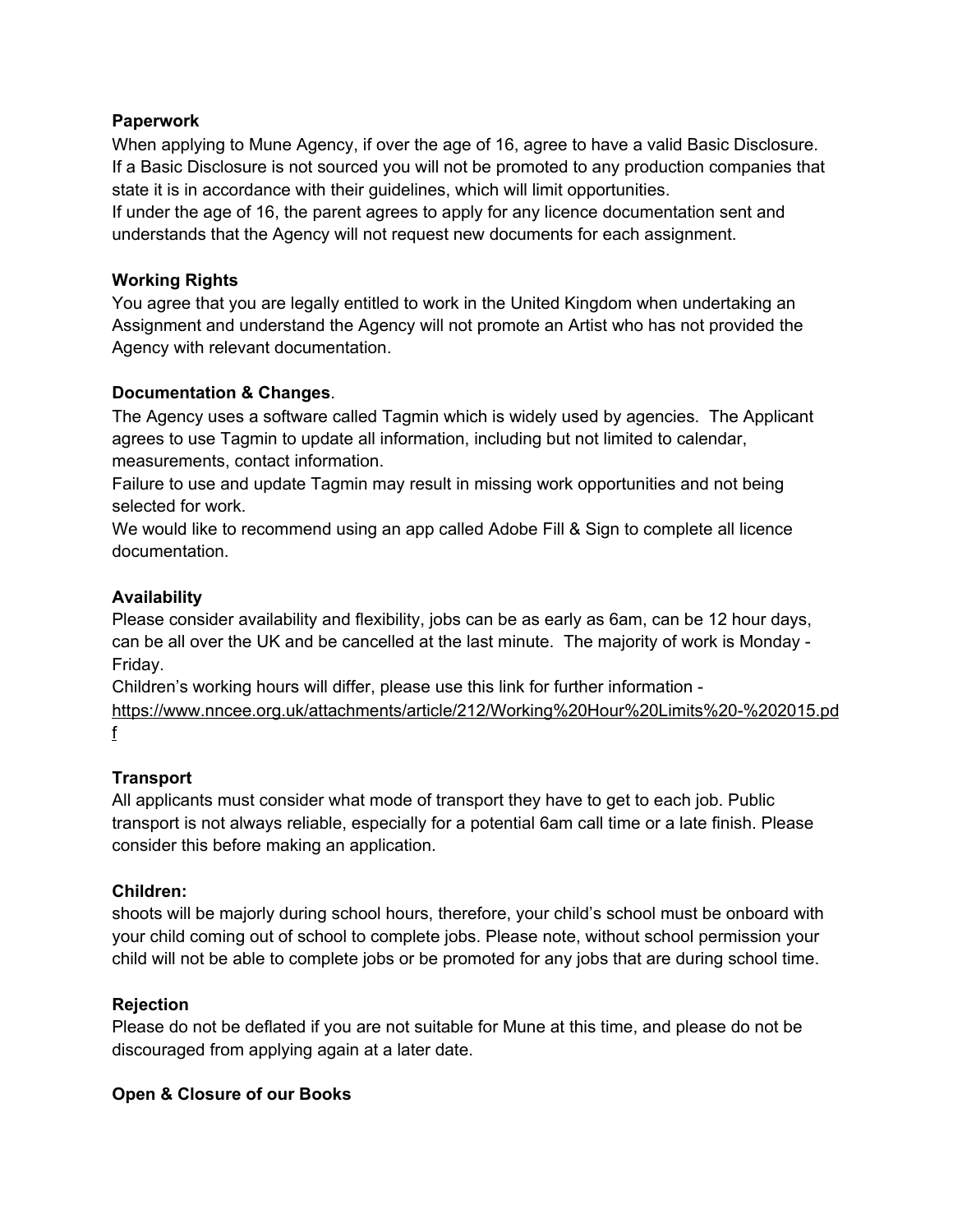### **Paperwork**

When applying to Mune Agency, if over the age of 16, agree to have a valid Basic Disclosure. If a Basic Disclosure is not sourced you will not be promoted to any production companies that state it is in accordance with their guidelines, which will limit opportunities.

If under the age of 16, the parent agrees to apply for any licence documentation sent and understands that the Agency will not request new documents for each assignment.

# **Working Rights**

You agree that you are legally entitled to work in the United Kingdom when undertaking an Assignment and understand the Agency will not promote an Artist who has not provided the Agency with relevant documentation.

### **Documentation & Changes**.

The Agency uses a software called Tagmin which is widely used by agencies. The Applicant agrees to use Tagmin to update all information, including but not limited to calendar, measurements, contact information.

Failure to use and update Tagmin may result in missing work opportunities and not being selected for work.

We would like to recommend using an app called Adobe Fill & Sign to complete all licence documentation.

### **Availability**

Please consider availability and flexibility, jobs can be as early as 6am, can be 12 hour days, can be all over the UK and be cancelled at the last minute. The majority of work is Monday - Friday.

Children's working hours will differ, please use this link for further information -

[https://www.nncee.org.uk/attachments/article/212/Working%20Hour%20Limits%20-%202015.pd](https://www.nncee.org.uk/attachments/article/212/Working%20Hour%20Limits%20-%202015.pdf) [f](https://www.nncee.org.uk/attachments/article/212/Working%20Hour%20Limits%20-%202015.pdf)

#### **Transport**

All applicants must consider what mode of transport they have to get to each job. Public transport is not always reliable, especially for a potential 6am call time or a late finish. Please consider this before making an application.

#### **Children:**

shoots will be majorly during school hours, therefore, your child's school must be onboard with your child coming out of school to complete jobs. Please note, without school permission your child will not be able to complete jobs or be promoted for any jobs that are during school time.

#### **Rejection**

Please do not be deflated if you are not suitable for Mune at this time, and please do not be discouraged from applying again at a later date.

# **Open & Closure of our Books**